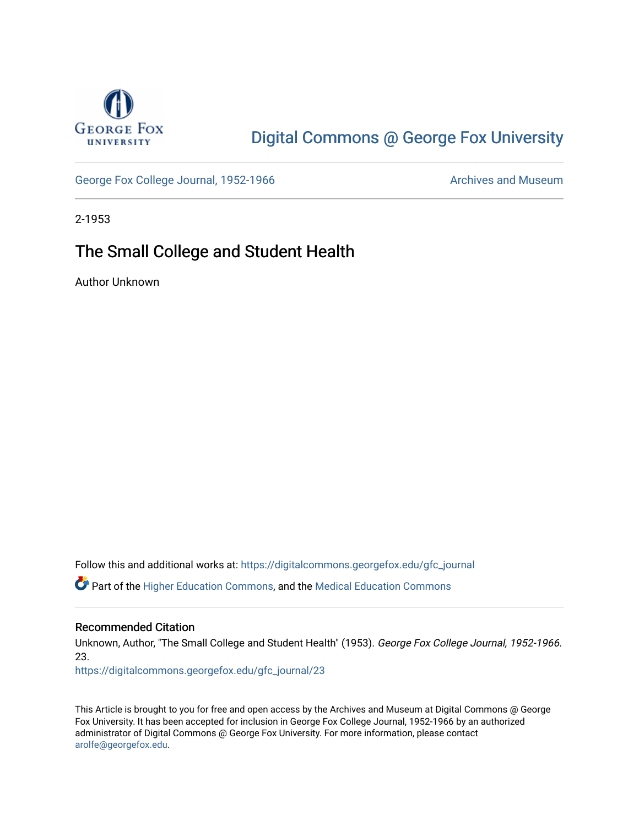

# [Digital Commons @ George Fox University](https://digitalcommons.georgefox.edu/)

[George Fox College Journal, 1952-1966](https://digitalcommons.georgefox.edu/gfc_journal) Archives and Museum

2-1953

## The Small College and Student Health

Author Unknown

Follow this and additional works at: [https://digitalcommons.georgefox.edu/gfc\\_journal](https://digitalcommons.georgefox.edu/gfc_journal?utm_source=digitalcommons.georgefox.edu%2Fgfc_journal%2F23&utm_medium=PDF&utm_campaign=PDFCoverPages)

Part of the [Higher Education Commons,](http://network.bepress.com/hgg/discipline/1245?utm_source=digitalcommons.georgefox.edu%2Fgfc_journal%2F23&utm_medium=PDF&utm_campaign=PDFCoverPages) and the [Medical Education Commons](http://network.bepress.com/hgg/discipline/1125?utm_source=digitalcommons.georgefox.edu%2Fgfc_journal%2F23&utm_medium=PDF&utm_campaign=PDFCoverPages) 

### Recommended Citation

Unknown, Author, "The Small College and Student Health" (1953). George Fox College Journal, 1952-1966. 23.

[https://digitalcommons.georgefox.edu/gfc\\_journal/23](https://digitalcommons.georgefox.edu/gfc_journal/23?utm_source=digitalcommons.georgefox.edu%2Fgfc_journal%2F23&utm_medium=PDF&utm_campaign=PDFCoverPages) 

This Article is brought to you for free and open access by the Archives and Museum at Digital Commons @ George Fox University. It has been accepted for inclusion in George Fox College Journal, 1952-1966 by an authorized administrator of Digital Commons @ George Fox University. For more information, please contact [arolfe@georgefox.edu.](mailto:arolfe@georgefox.edu)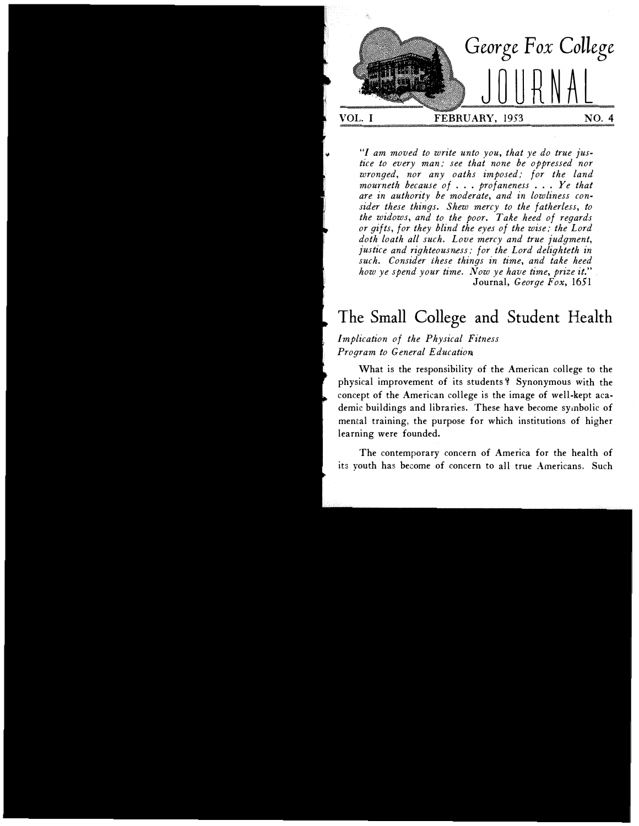

"I am moved to write unto you, that ye do true justice to every man; see that none be oppressed nor wronged, nor any oaths imposed; for the land mourneth because of  $\ldots$  profaneness  $\ldots$  Ye that are in authority be moderate, and in lowliness consider these things. Shew mercy to the fatherless, to the widows, and to the poor. Take heed of regards or gifts, for they blind the eyes of the wise; the Lord doth loath all such. Love mercy and true judgment, justice and righteousness; for the Lord delighteth in such. Consider these things in time, and take heed how ye spend your time. Now ye have time, prize it." Journal, George Fox, 1651

## The Small College and Student Health

Implication of the Physical Fitness Program to General Education

What is the responsibility of the American college to the physical improvement of its students'? Synonymous with the concept of the American college is the image of well-kept academic buildings and libraries. These have become symbolic of mental training, the purpose for which institutions of higher learning were founded.

The contemporary concern of America for the health of its youth has become of concern to all true Americans. Such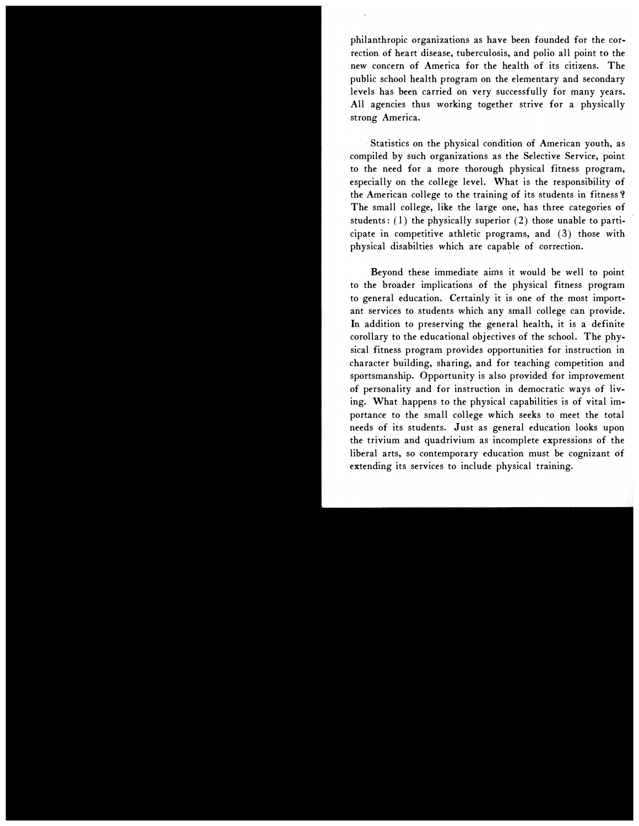philanthropic organizations as have been founded for the correction of heart disease, tuberculosis, and polio all point to the new concern of America for the health of its citizens. The public school health program on the elementary and secondary levels has been carried on very successfully for many years. All agencies thus working together strive for a physically strong America.

Statistics on the physical condition of American youth, as compiled by such organizations as the Selective Service, point to the need for a more thorough physical fitness program, especially on the college level. What is the responsibility of the American college to the training of its students in fitness'? The small college, like the large one, has three categories of students:  $(1)$  the physically superior  $(2)$  those unable to participate in competitive athletic programs, and  $(3)$  those with physical disabilties which are capable of correction.

Beyond these immediate aims it would be well to point to the broader implications of the physical fitness program to general education. Certainly it is one of the most important services to students which any small college can provide. In addition to preserving the general health, it is a definite corollary to the educational objectives of the school. The physical fitness program provides opportunities for instruction in character building, sharing, and for teaching competition and sportsmanship. Opportunity is also provided for improvement of personality and for instruction in democratic ways of living. What happens to the physical capabilities is of vital importance to the small college which seeks to meet the total needs of its students. Just as general education looks upon the trivium and quadrivium as incomplete expressions of the liberal arts, so contemporary education must be cognizant of extending its services to include physical training.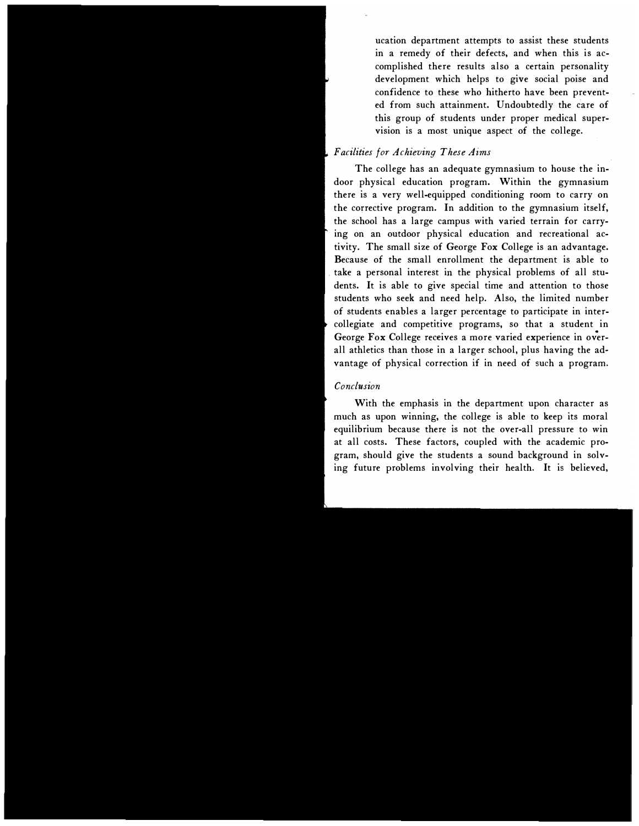ucation department attempts to assist these students in a remedy of their defects, and when this is accomplished there results also a certain personality development which helps to give social poise and confidence to these who hitherto have been prevented from such attainment. Undoubtedly the care of this group of students under proper medical supervision is a most unique aspect of the college.

#### Facilities for Achieving These Aims

The college has an adequate gymnasium to house the indoor physical education program. Within the gymnasium there is a very well-equipped conditioning room to carry on the corrective program. In addition to the gymnasium itself, the school has a large campus with varied terrain for carrying on an outdoor physical education and recreational activity. The small size of George Fox College is an advantage. Because of the small enrollment the department is able to take a personal interest in the physical problems of all students. It is able to give special time and attention to those students who seek and need help. Also, the limited number of students enables a larger percentage to participate in intercollegiate and competitive programs, so that a student in George Fox College receives a more varied experience in overall athletics than those in a larger school, plus having the advantage of physical correction if in need of such a program.

#### Conclusion

With the emphasis in the department upon character as much as upon winning, the college is able to keep its moral equilibrium because there is not the over-all pressure to win at all costs. These factors, coupled with the academic program, should give the students a sound background in solving future problems involving their health. It is believed,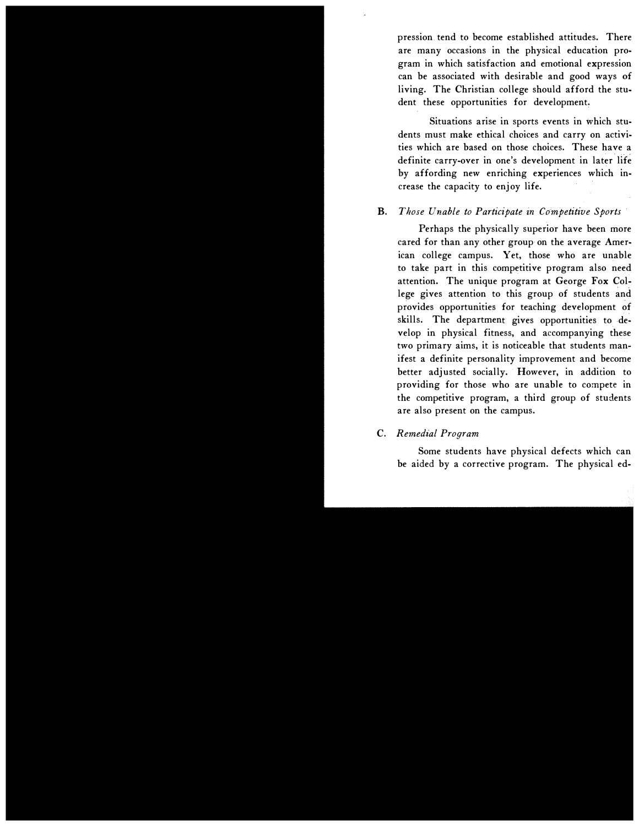pression tend to become established attitudes. There are many occasions in the physical education program in which satisfaction and emotional expression can be associated with desirable and good ways of living. The Christian college should afford the student these opportunities for development.

Situations arise in sports events in which students must make ethical choices and carry on activities which are based on those choices. These have a definite carry-over in one's development in later life by affording new enriching experiences which increase the capacity to enjoy life.

#### B. Those Unable to Participate in Competitive Sports

Perhaps the physically superior have been more cared for than any other group on the average American college campus. Yet, those who are unable to take part in this competitive program also need attention. The unique program at George Fox College gives attention to this group of students and provides opportunities for teaching development of skills. The department gives opportunities to develop in physical fitness, and accompanying these two primary aims, it is noticeable that students manifest a definite personality improvement and become better adjusted socially. However, in addition to providing for those who are unable to compete in the competitive program, a third group of students are also present on the campus.

#### C. Remedial Program

Some students have physical defects which can be aided by a corrective program. The physical ed-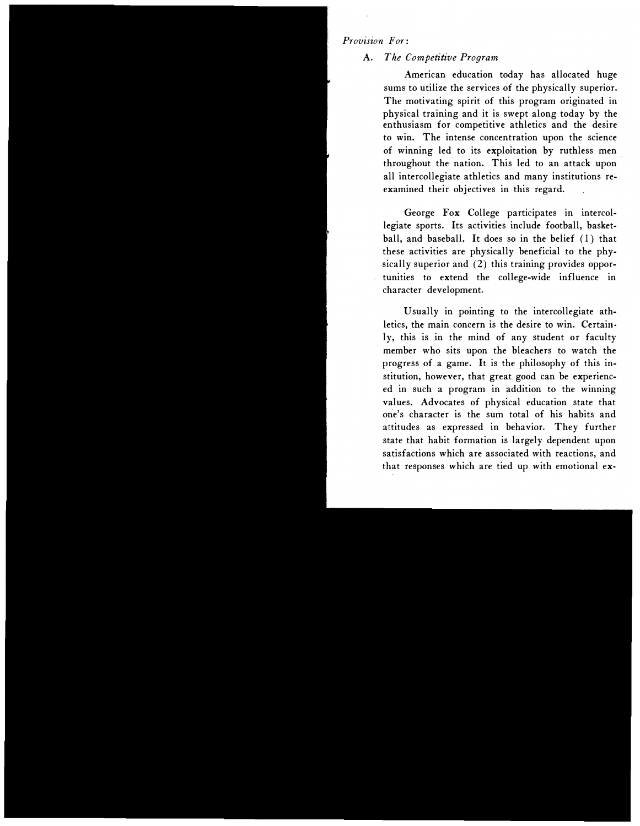#### Provision For:

#### A. The Competitive Program

American education today has allocated huge sums to utilize the services of the physically superior. The motivating spirit of this program originated in <sup>p</sup>hysical training and it is swept along today by the enthusiasm for competitive athletics and the desire to win. The intense concentration upon the science of winning led to its exploitation by ruthless men throughout the nation. This led to an attack upon all intercollegiate athletics and many institutions reexamined their objectives in this regard.

George Fox College participates in intercollegiate sports. Its activities include football, basketball, and baseball. It does so in the belief ( 1) that these activities are physically beneficial to the physically superior and (2) this training provides opportunities to extend the college-wide influence in character development.

Usually in pointing to the intercollegiate athletics, the main concern is the desire to win. Certain· ly, this is in the mind of any student or faculty member who sits upon the bleachers to watch the progress of a game. It is the philosophy of this institution, however, that great good can be experienced in such a program in addition to the winning values. Advocates of physical education state that one's character is the sum total of his habits and attitudes as expressed in behavior. They further state that habit formation is largely dependent upon satisfactions which are associated with reactions, and that responses which are tied up with emotional ex